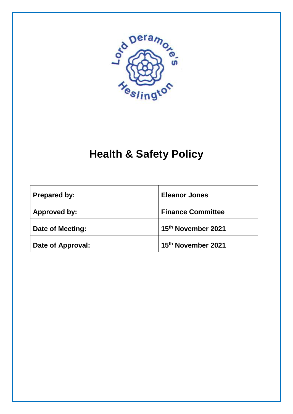

# **Health & Safety Policy**

| <b>Prepared by:</b> | <b>Eleanor Jones</b>     |  |
|---------------------|--------------------------|--|
| Approved by:        | <b>Finance Committee</b> |  |
| Date of Meeting:    | 15th November 2021       |  |
| Date of Approval:   | 15th November 2021       |  |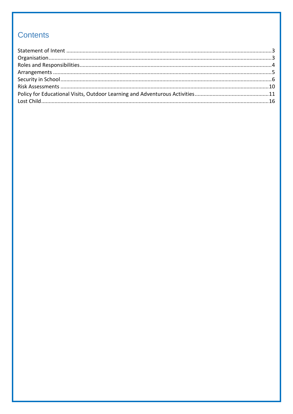## **Contents**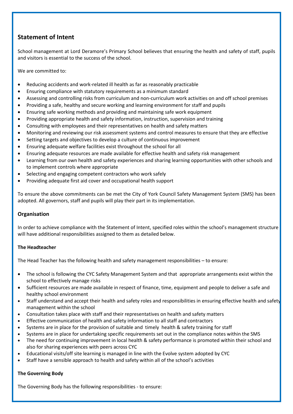## <span id="page-2-0"></span>**Statement of Intent**

School management at Lord Deramore's Primary School believes that ensuring the health and safety of staff, pupils and visitors is essential to the success of the school.

We are committed to:

- Reducing accidents and work-related ill health as far as reasonably practicable
- Ensuring compliance with statutory requirements as a minimum standard
- Assessing and controlling risks from curriculum and non-curriculum work activities on and off school premises
- Providing a safe, healthy and secure working and learning environment for staff and pupils
- Ensuring safe working methods and providing and maintaining safe work equipment
- Providing appropriate health and safety information, instruction, supervision and training
- Consulting with employees and their representatives on health and safety matters
- Monitoring and reviewing our risk assessment systems and control measures to ensure that they are effective
- Setting targets and objectives to develop a culture of continuous improvement
- Ensuring adequate welfare facilities exist throughout the school for all
- Ensuring adequate resources are made available for effective health and safety risk management
- Learning from our own health and safety experiences and sharing learning opportunities with other schools and to implement controls where appropriate
- Selecting and engaging competent contractors who work safely
- Providing adequate first aid cover and occupational health support

To ensure the above commitments can be met the City of York Council Safety Management System (SMS) has been adopted. All governors, staff and pupils will play their part in its implementation.

#### <span id="page-2-1"></span>**Organisation**

In order to achieve compliance with the Statement of Intent, specified roles within the school's management structure will have additional responsibilities assigned to them as detailed below.

#### **The Headteacher**

The Head Teacher has the following health and safety management responsibilities – to ensure:

- The school is following the CYC Safety Management System and that appropriate arrangements exist within the school to effectively manage risks
- Sufficient resources are made available in respect of finance, time, equipment and people to deliver a safe and healthy school environment
- Staff understand and accept their health and safety roles and responsibilities in ensuring effective health and safety management within the school
- Consultation takes place with staff and their representatives on health and safety matters
- Effective communication of health and safety information to all staff and contractors
- Systems are in place for the provision of suitable and timely health & safety training for staff
- Systems are in place for undertaking specific requirements set out in the compliance notes within the SMS
- The need for continuing improvement in local health & safety performance is promoted within their school and also for sharing experiences with peers across CYC
- Educational visits/off site learning is managed in line with the Evolve system adopted by CYC
- Staff have a sensible approach to health and safety within all of the school's activities

#### **The Governing Body**

The Governing Body has the following responsibilities - to ensure: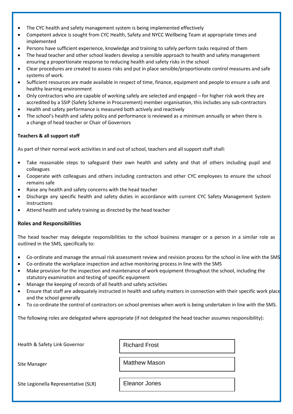- The CYC health and safety management system is being implemented effectively
- Competent advice is sought from CYC Health, Safety and NYCC Wellbeing Team at appropriate times and implemented
- Persons have sufficient experience, knowledge and training to safely perform tasks required of them
- The head teacher and other school leaders develop a sensible approach to health and safety management ensuring a proportionate response to reducing health and safety risks in the school
- Clear procedures are created to assess risks and put in place sensible/proportionate control measures and safe systems of work.
- Sufficient resources are made available in respect of time, finance, equipment and people to ensure a safe and healthy learning environment
- Only contractors who are capable of working safely are selected and engaged for higher risk work they are accredited by a SSIP (Safety Scheme in Procurement) member organisation, this includes any sub-contractors
- Health and safety performance is measured both actively and reactively
- The school's health and safety policy and performance is reviewed as a minimum annually or when there is a change of head teacher or Chair of Governors

#### **Teachers & all support staff**

As part of their normal work activities in and out of school, teachers and all support staff shall:

- Take reasonable steps to safeguard their own health and safety and that of others including pupil and colleagues
- Cooperate with colleagues and others including contractors and other CYC employees to ensure the school remains safe
- Raise any health and safety concerns with the head teacher
- Discharge any specific health and safety duties in accordance with current CYC Safety Management System instructions
- Attend health and safety training as directed by the head teacher

#### <span id="page-3-0"></span>**Roles and Responsibilities**

The head teacher may delegate responsibilities to the school business manager or a person in a similar role as outlined in the SMS, specifically to:

- Co-ordinate and manage the annual risk assessment review and revision process for the school in line with the SMS
- Co-ordinate the workplace inspection and active monitoring process in line with the SMS
- Make provision for the inspection and maintenance of work equipment throughout the school, including the statutory examination and testing of specific equipment
- Manage the keeping of records of all health and safety activities
- Ensure that staff are adequately instructed in health and safety matters in connection with their specific work place and the school generally
- To co-ordinate the control of contractors on school premises when work is being undertaken in line with the SMS.

The following roles are delegated where appropriate (if not delegated the head teacher assumes responsibility):

| <b>Richard Frost</b> |
|----------------------|
| <b>Matthew Mason</b> |
| <b>Eleanor Jones</b> |
|                      |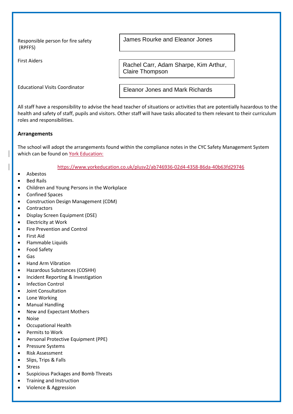Responsible person for fire safety (RPFFS)

First Aiders

James Rourke and Eleanor Jones

Rachel Carr, Adam Sharpe, Kim Arthur, Claire Thompson

Educational Visits Coordinator

Eleanor Jones and Mark Richards

All staff have a responsibility to advise the head teacher of situations or activities that are potentially hazardous to the health and safety of staff, pupils and visitors. Other staff will have tasks allocated to them relevant to their curriculum roles and responsibilities.

#### <span id="page-4-0"></span>**Arrangements**

The school will adopt the arrangements found within the compliance notes in the CYC Safety Management System which can be found on York Education:

<https://www.yorkeducation.co.uk/plusv2/ab746936-02d4-4358-86da-40b63fd29746>

- Asbestos
- Bed Rails
- Children and Young Persons in the Workplace
- Confined Spaces
- Construction Design Management (CDM)
- Contractors
- Display Screen Equipment (DSE)
- Electricity at Work
- Fire Prevention and Control
- First Aid
- Flammable Liquids
- Food Safety
- Gas
- Hand Arm Vibration
- Hazardous Substances (COSHH)
- Incident Reporting & Investigation
- Infection Control
- Joint Consultation
- Lone Working
- Manual Handling
- New and Expectant Mothers
- Noise
- Occupational Health
- Permits to Work
- Personal Protective Equipment (PPE)
- Pressure Systems
- Risk Assessment
- Slips, Trips & Falls
- Stress
- Suspicious Packages and Bomb Threats
- Training and Instruction
- Violence & Aggression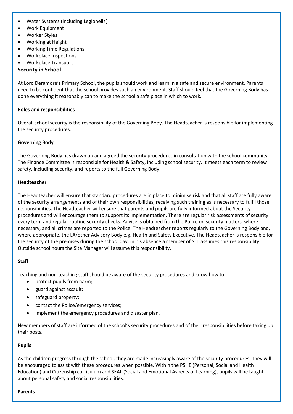- Water Systems (including Legionella)
- Work Equipment
- Worker Styles
- Working at Height
- Working Time Regulations
- Workplace Inspections
- Workplace Transport

#### <span id="page-5-0"></span>**Security in School**

At Lord Deramore's Primary School, the pupils should work and learn in a safe and secure environment. Parents need to be confident that the school provides such an environment. Staff should feel that the Governing Body has done everything it reasonably can to make the school a safe place in which to work.

#### **Roles and responsibilities**

Overall school security is the responsibility of the Governing Body. The Headteacher is responsible for implementing the security procedures.

#### **Governing Body**

The Governing Body has drawn up and agreed the security procedures in consultation with the school community. The Finance Committee is responsible for Health & Safety, including school security. It meets each term to review safety, including security, and reports to the full Governing Body.

#### **Headteacher**

The Headteacher will ensure that standard procedures are in place to minimise risk and that all staff are fully aware of the security arrangements and of their own responsibilities, receiving such training as is necessary to fulfil those responsibilities. The Headteacher will ensure that parents and pupils are fully informed about the Security procedures and will encourage them to support its implementation. There are regular risk assessments of security every term and regular routine security checks. Advice is obtained from the Police on security matters, where necessary, and all crimes are reported to the Police. The Headteacher reports regularly to the Governing Body and, where appropriate, the LA/other Advisory Body e.g. Health and Safety Executive. The Headteacher is responsible for the security of the premises during the school day; in his absence a member of SLT assumes this responsibility. Outside school hours the Site Manager will assume this responsibility.

#### **Staff**

Teaching and non-teaching staff should be aware of the security procedures and know how to:

- protect pupils from harm;
- guard against assault;
- safeguard property;
- contact the Police/emergency services;
- implement the emergency procedures and disaster plan.

New members of staff are informed of the school's security procedures and of their responsibilities before taking up their posts.

#### **Pupils**

As the children progress through the school, they are made increasingly aware of the security procedures. They will be encouraged to assist with these procedures when possible. Within the PSHE (Personal, Social and Health Education) and Citizenship curriculum and SEAL (Social and Emotional Aspects of Learning), pupils will be taught about personal safety and social responsibilities.

#### **Parents**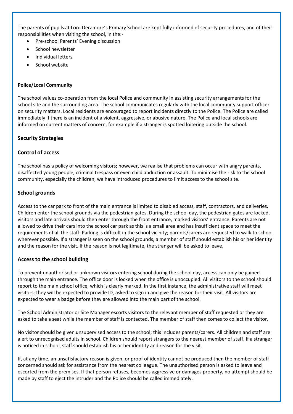The parents of pupils at Lord Deramore's Primary School are kept fully informed of security procedures, and of their responsibilities when visiting the school, in the:-

- Pre-school Parents' Evening discussion
- School newsletter
- Individual letters
- School website

#### **Police/Local Community**

The school values co-operation from the local Police and community in assisting security arrangements for the school site and the surrounding area. The school communicates regularly with the local community support officer on security matters. Local residents are encouraged to report incidents directly to the Police. The Police are called immediately if there is an incident of a violent, aggressive, or abusive nature. The Police and local schools are informed on current matters of concern, for example if a stranger is spotted loitering outside the school.

#### **Security Strategies**

#### **Control of access**

The school has a policy of welcoming visitors; however, we realise that problems can occur with angry parents, disaffected young people, criminal trespass or even child abduction or assault. To minimise the risk to the school community, especially the children, we have introduced procedures to limit access to the school site.

#### **School grounds**

Access to the car park to front of the main entrance is limited to disabled access, staff, contractors, and deliveries. Children enter the school grounds via the pedestrian gates. During the school day, the pedestrian gates are locked, visitors and late arrivals should then enter through the front entrance, marked visitors' entrance. Parents are not allowed to drive their cars into the school car park as this is a small area and has insufficient space to meet the requirements of all the staff. Parking is difficult in the school vicinity; parents/carers are requested to walk to school wherever possible. If a stranger is seen on the school grounds, a member of staff should establish his or her identity and the reason for the visit. If the reason is not legitimate, the stranger will be asked to leave.

#### **Access to the school building**

To prevent unauthorised or unknown visitors entering school during the school day, access can only be gained through the main entrance. The office door is locked when the office is unoccupied. All visitors to the school should report to the main school office, which is clearly marked. In the first instance, the administrative staff will meet visitors; they will be expected to provide ID, asked to sign in and give the reason for their visit. All visitors are expected to wear a badge before they are allowed into the main part of the school.

The School Administrator or Site Manager escorts visitors to the relevant member of staff requested or they are asked to take a seat while the member of staff is contacted. The member of staff then comes to collect the visitor.

No visitor should be given unsupervised access to the school; this includes parents/carers. All children and staff are alert to unrecognised adults in school. Children should report strangers to the nearest member of staff. If a stranger is noticed in school, staff should establish his or her identity and reason for the visit.

If, at any time, an unsatisfactory reason is given, or proof of identity cannot be produced then the member of staff concerned should ask for assistance from the nearest colleague. The unauthorised person is asked to leave and escorted from the premises. If that person refuses, becomes aggressive or damages property, no attempt should be made by staff to eject the intruder and the Police should be called immediately.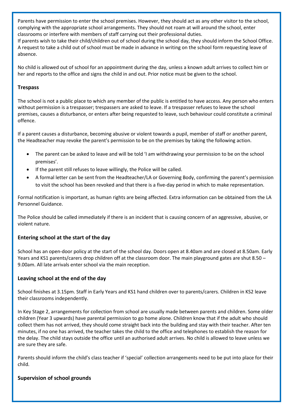Parents have permission to enter the school premises. However, they should act as any other visitor to the school, complying with the appropriate school arrangements. They should not roam at will around the school, enter classrooms or interfere with members of staff carrying out their professional duties.

If parents wish to take their child/children out of school during the school day, they should inform the School Office. A request to take a child out of school must be made in advance in writing on the school form requesting leave of absence.

No child is allowed out of school for an appointment during the day, unless a known adult arrives to collect him or her and reports to the office and signs the child in and out. Prior notice must be given to the school.

#### **Trespass**

The school is not a public place to which any member of the public is entitled to have access. Any person who enters without permission is a trespasser; trespassers are asked to leave. If a trespasser refuses to leave the school premises, causes a disturbance, or enters after being requested to leave, such behaviour could constitute a criminal offence.

If a parent causes a disturbance, becoming abusive or violent towards a pupil, member of staff or another parent, the Headteacher may revoke the parent's permission to be on the premises by taking the following action.

- The parent can be asked to leave and will be told 'I am withdrawing your permission to be on the school premises'.
- If the parent still refuses to leave willingly, the Police will be called.
- A formal letter can be sent from the Headteacher/LA or Governing Body, confirming the parent's permission to visit the school has been revoked and that there is a five-day period in which to make representation.

Formal notification is important, as human rights are being affected. Extra information can be obtained from the LA Personnel Guidance.

The Police should be called immediately if there is an incident that is causing concern of an aggressive, abusive, or violent nature.

#### **Entering school at the start of the day**

School has an open-door policy at the start of the school day. Doors open at 8.40am and are closed at 8.50am. Early Years and KS1 parents/carers drop children off at the classroom door. The main playground gates are shut 8.50 – 9.00am. All late arrivals enter school via the main reception.

#### **Leaving school at the end of the day**

School finishes at 3.15pm. Staff in Early Years and KS1 hand children over to parents/carers. Children in KS2 leave their classrooms independently.

In Key Stage 2, arrangements for collection from school are usually made between parents and children. Some older children (Year 3 upwards) have parental permission to go home alone. Children know that if the adult who should collect them has not arrived, they should come straight back into the building and stay with their teacher. After ten minutes, if no one has arrived, the teacher takes the child to the office and telephones to establish the reason for the delay. The child stays outside the office until an authorised adult arrives. No child is allowed to leave unless we are sure they are safe.

Parents should inform the child's class teacher if 'special' collection arrangements need to be put into place for their child.

#### **Supervision of school grounds**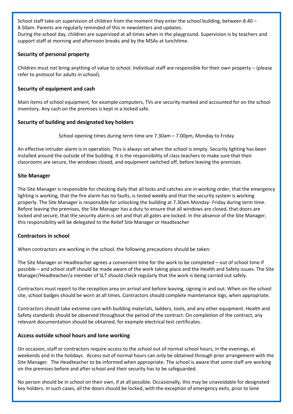School staff take on supervision of children from the moment they enter the school building, between 8.40 – 8.50am. Parents are regularly reminded of this in newsletters and updates.

During the school day, children are supervised at all times when in the playground. Supervision is by teachers and support staff at morning and afternoon breaks and by the MSAs at lunchtime.

#### **Security of personal property**

Children must not bring anything of value to school. Individual staff are responsible for their own property – (please refer to protocol for adults in school).

#### **Security of equipment and cash**

Main items of school equipment, for example computers, TVs are security marked and accounted for on the school inventory. Any cash on the premises is kept in a locked safe.

#### **Security of building and designated key holders**

School opening times during term time are 7.30am – 7.00pm, Monday to Friday

An effective intruder alarm is in operation. This is always set when the school is empty. Security lighting has been installed around the outside of the building. It is the responsibility of class teachers to make sure that their classrooms are secure, the windows closed, and equipment switched off, before leaving the premises.

#### **Site Manager**

The Site Manager is responsible for checking daily that all locks and catches are in working order, that the emergency lighting is working, that the fire alarm has no faults, is tested weekly and that the security system is working properly. The Site Manager is responsible for unlocking the building at 7.30am Monday- Friday during term time. Before leaving the premises, the Site Manager has a duty to ensure that all windows are closed, that doors are locked and secure, that the security alarm is set and that all gates are locked. In the absence of the Site Manager, this responsibility will be delegated to the Relief Site Manager or Headteacher

#### **Contractors in school**

When contractors are working in the school, the following precautions should be taken:

The Site Manager or Headteacher agrees a convenient time for the work to be completed – out of school time if possible – and school staff should be made aware of the work taking place and the Health and Safety issues. The Site Manager/Headteacher/a member of SLT should check regularly that the work is being carried out safely.

Contractors must report to the reception area on arrival and before leaving, signing in and out. When on the school site, school badges should be worn at all times. Contractors should complete maintenance logs, when appropriate.

Contractors should take extreme care with building materials, ladders, tools, and any other equipment. Health and Safety standards should be observed throughout the period of the contract. On completion of the contract, any relevant documentation should be obtained, for example electrical test certificates.

#### **Access outside school hours and lone working**

On occasion, staff or contractors require access to the school out of normal school hours, in the evenings, at weekends and in the holidays. Access out of normal hours can only be obtained through prior arrangement with the Site Manager. The Headteacher to be informed when appropriate. The school is aware that some staff are working on the premises before and after school and their security has to be safeguarded.

No person should be in school on their own, if at all possible. Occasionally, this may be unavoidable for designated key holders. In such cases, all the doors should be locked, with the exception of emergency exits, prior to lone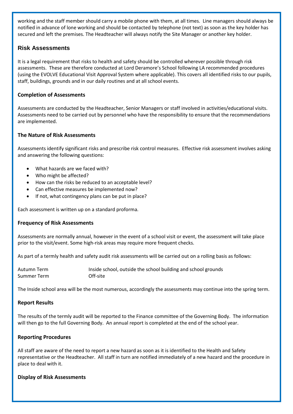working and the staff member should carry a mobile phone with them, at all times. Line managers should always be notified in advance of lone working and should be contacted by telephone (not text) as soon as the key holder has secured and left the premises. The Headteacher will always notify the Site Manager or another key holder.

### <span id="page-9-0"></span>**Risk Assessments**

It is a legal requirement that risks to health and safety should be controlled wherever possible through risk assessments. These are therefore conducted at Lord Deramore's School following LA recommended procedures (using the EVOLVE Educational Visit Approval System where applicable). This covers all identified risks to our pupils, staff, buildings, grounds and in our daily routines and at all school events.

#### **Completion of Assessments**

Assessments are conducted by the Headteacher, Senior Managers or staff involved in activities/educational visits. Assessments need to be carried out by personnel who have the responsibility to ensure that the recommendations are implemented.

#### **The Nature of Risk Assessments**

Assessments identify significant risks and prescribe risk control measures. Effective risk assessment involves asking and answering the following questions:

- What hazards are we faced with?
- Who might be affected?
- How can the risks be reduced to an acceptable level?
- Can effective measures be implemented now?
- If not, what contingency plans can be put in place?

Each assessment is written up on a standard proforma.

#### **Frequency of Risk Assessments**

Assessments are normally annual, however in the event of a school visit or event, the assessment will take place prior to the visit/event. Some high-risk areas may require more frequent checks.

As part of a termly health and safety audit risk assessments will be carried out on a rolling basis as follows:

| Autumn Term | Inside school, outside the school building and school grounds |
|-------------|---------------------------------------------------------------|
| Summer Term | Off-site                                                      |

The Inside school area will be the most numerous, accordingly the assessments may continue into the spring term.

#### **Report Results**

The results of the termly audit will be reported to the Finance committee of the Governing Body. The information will then go to the full Governing Body. An annual report is completed at the end of the school year.

#### **Reporting Procedures**

All staff are aware of the need to report a new hazard as soon as it is identified to the Health and Safety representative or the Headteacher. All staff in turn are notified immediately of a new hazard and the procedure in place to deal with it.

#### **Display of Risk Assessments**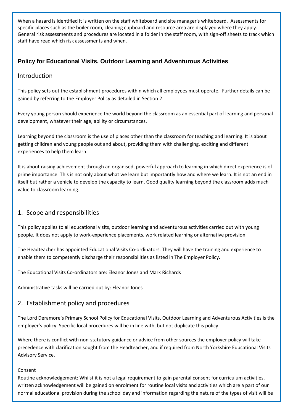When a hazard is identified it is written on the staff whiteboard and site manager's whiteboard. Assessments for specific places such as the boiler room, cleaning cupboard and resource area are displayed where they apply. General risk assessments and procedures are located in a folder in the staff room, with sign-off sheets to track which staff have read which risk assessments and when.

## <span id="page-10-0"></span>**Policy for Educational Visits, Outdoor Learning and Adventurous Activities**

## Introduction

This policy sets out the establishment procedures within which all employees must operate. Further details can be gained by referring to the Employer Policy as detailed in Section 2.

Every young person should experience the world beyond the classroom as an essential part of learning and personal development, whatever their age, ability or circumstances.

Learning beyond the classroom is the use of places other than the classroom for teaching and learning. It is about getting children and young people out and about, providing them with challenging, exciting and different experiences to help them learn.

It is about raising achievement through an organised, powerful approach to learning in which direct experience is of prime importance. This is not only about what we learn but importantly how and where we learn. It is not an end in itself but rather a vehicle to develop the capacity to learn. Good quality learning beyond the classroom adds much value to classroom learning.

## 1. Scope and responsibilities

This policy applies to all educational visits, outdoor learning and adventurous activities carried out with young people. It does not apply to work-experience placements, work related learning or alternative provision.

The Headteacher has appointed Educational Visits Co-ordinators. They will have the training and experience to enable them to competently discharge their responsibilities as listed in The Employer Policy.

The Educational Visits Co-ordinators are: Eleanor Jones and Mark Richards

Administrative tasks will be carried out by: Eleanor Jones

## 2. Establishment policy and procedures

The Lord Deramore's Primary School Policy for Educational Visits, Outdoor Learning and Adventurous Activities is the employer's policy. Specific local procedures will be in line with, but not duplicate this policy.

Where there is conflict with non-statutory guidance or advice from other sources the employer policy will take precedence with clarification sought from the Headteacher, and if required from North Yorkshire Educational Visits Advisory Service.

#### Consent

Routine acknowledgement: Whilst it is not a legal requirement to gain parental consent for curriculum activities, written acknowledgement will be gained on enrolment for routine local visits and activities which are a part of our normal educational provision during the school day and information regarding the nature of the types of visit will be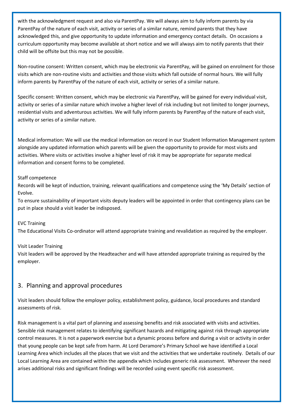with the acknowledgment request and also via ParentPay. We will always aim to fully inform parents by via ParentPay of the nature of each visit, activity or series of a similar nature, remind parents that they have acknowledged this, and give opportunity to update information and emergency contact details. On occasions a curriculum opportunity may become available at short notice and we will always aim to notify parents that their child will be offsite but this may not be possible.

Non-routine consent: Written consent, which may be electronic via ParentPay, will be gained on enrolment for those visits which are non-routine visits and activities and those visits which fall outside of normal hours. We will fully inform parents by ParentPay of the nature of each visit, activity or series of a similar nature.

Specific consent: Written consent, which may be electronic via ParentPay, will be gained for every individual visit, activity or series of a similar nature which involve a higher level of risk including but not limited to longer journeys, residential visits and adventurous activities. We will fully inform parents by ParentPay of the nature of each visit, activity or series of a similar nature.

Medical information: We will use the medical information on record in our Student Information Management system alongside any updated information which parents will be given the opportunity to provide for most visits and activities. Where visits or activities involve a higher level of risk it may be appropriate for separate medical information and consent forms to be completed.

#### Staff competence

Records will be kept of induction, training, relevant qualifications and competence using the 'My Details' section of Evolve.

To ensure sustainability of important visits deputy leaders will be appointed in order that contingency plans can be put in place should a visit leader be indisposed.

#### EVC Training

The Educational Visits Co-ordinator will attend appropriate training and revalidation as required by the employer.

#### Visit Leader Training

Visit leaders will be approved by the Headteacher and will have attended appropriate training as required by the employer.

#### 3. Planning and approval procedures

Visit leaders should follow the employer policy, establishment policy, guidance, local procedures and standard assessments of risk.

Risk management is a vital part of planning and assessing benefits and risk associated with visits and activities. Sensible risk management relates to identifying significant hazards and mitigating against risk through appropriate control measures. It is not a paperwork exercise but a dynamic process before and during a visit or activity in order that young people can be kept safe from harm. At Lord Deramore's Primary School we have identified a Local Learning Area which includes all the places that we visit and the activities that we undertake routinely. Details of our Local Learning Area are contained within the appendix which includes generic risk assessment. Wherever the need arises additional risks and significant findings will be recorded using event specific risk assessment.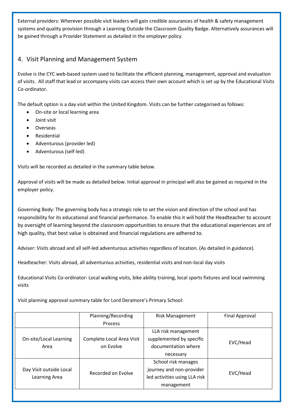External providers: Wherever possible visit leaders will gain credible assurances of health & safety management systems and quality provision through a Learning Outside the Classroom Quality Badge. Alternatively assurances will be gained through a Provider Statement as detailed in the employer policy

## 4. Visit Planning and Management System

Evolve is the CYC web-based system used to facilitate the efficient planning, management, approval and evaluation of visits. All staff that lead or accompany visits can access their own account which is set up by the Educational Visits Co-ordinator.

The default option is a day visit within the United Kingdom. Visits can be further categorised as follows:

- On-site or local learning area
- Joint visit
- Overseas
- Residential
- Adventurous (provider led)
- Adventurous (self-led)

Visits will be recorded as detailed in the summary table below.

Approval of visits will be made as detailed below. Initial approval in principal will also be gained as required in the employer policy.

Governing Body: The governing body has a strategic role to set the vision and direction of the school and has responsibility for its educational and financial performance. To enable this it will hold the Headteacher to account by oversight of learning beyond the classroom opportunities to ensure that the educational experiences are of high quality, that best value is obtained and financial regulations are adhered to.

Adviser: Visits abroad and all self-led adventurous activities regardless of location. (As detailed in guidance).

Headteacher: Visits abroad, all adventurous activities, residential visits and non-local day visits

Educational Visits Co-ordinator: Local walking visits, bike ability training, local sports fixtures and local swimming visits

Visit planning approval summary table for Lord Deramore's Primary School:

|                         | Planning/Recording        | <b>Risk Management</b>        | Final Approval |
|-------------------------|---------------------------|-------------------------------|----------------|
|                         | Process                   |                               |                |
|                         |                           | LLA risk management           |                |
| On-site/Local Learning  | Complete Local Area Visit | supplemented by specific      | EVC/Head       |
| Area                    | on Evolve                 | documentation where           |                |
|                         |                           | necessary                     |                |
|                         |                           | School risk manages           |                |
| Day Visit outside Local | Recorded on Evolve        | journey and non-provider      | EVC/Head       |
| Learning Area           |                           | led activities using LLA risk |                |
|                         |                           | management                    |                |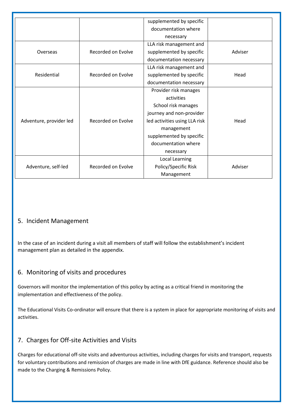|                         |                    | supplemented by specific      |         |
|-------------------------|--------------------|-------------------------------|---------|
|                         |                    | documentation where           |         |
|                         |                    | necessary                     |         |
|                         |                    | LLA risk management and       |         |
| Overseas                | Recorded on Evolve | supplemented by specific      | Adviser |
|                         |                    | documentation necessary       |         |
|                         |                    | LLA risk management and       |         |
| Residential             | Recorded on Evolve | supplemented by specific      | Head    |
|                         |                    | documentation necessary       |         |
|                         |                    | Provider risk manages         |         |
|                         |                    | activities                    |         |
|                         |                    | School risk manages           |         |
|                         |                    | journey and non-provider      |         |
| Adventure, provider led | Recorded on Evolve | led activities using LLA risk | Head    |
|                         |                    | management                    |         |
|                         |                    | supplemented by specific      |         |
|                         |                    | documentation where           |         |
|                         |                    | necessary                     |         |
|                         |                    | Local Learning                |         |
| Adventure, self-led     | Recorded on Evolve | Policy/Specific Risk          | Adviser |
|                         |                    | Management                    |         |

## 5. Incident Management

In the case of an incident during a visit all members of staff will follow the establishment's incident management plan as detailed in the appendix.

## 6. Monitoring of visits and procedures

Governors will monitor the implementation of this policy by acting as a critical friend in monitoring the implementation and effectiveness of the policy.

The Educational Visits Co-ordinator will ensure that there is a system in place for appropriate monitoring of visits and activities.

## 7. Charges for Off-site Activities and Visits

Charges for educational off-site visits and adventurous activities, including charges for visits and transport, requests for voluntary contributions and remission of charges are made in line with DfE guidance. Reference should also be made to the Charging & Remissions Policy.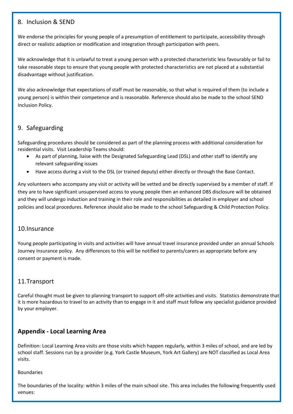## 8. Inclusion & SEND

We endorse the principles for young people of a presumption of entitlement to participate, accessibility through direct or realistic adaption or modification and integration through participation with peers.

We acknowledge that it is unlawful to treat a young person with a protected characteristic less favourably or fail to take reasonable steps to ensure that young people with protected characteristics are not placed at a substantial disadvantage without justification.

We also acknowledge that expectations of staff must be reasonable, so that what is required of them (to include a young person) is within their competence and is reasonable. Reference should also be made to the school SEND Inclusion Policy.

## 9. Safeguarding

Safeguarding procedures should be considered as part of the planning process with additional consideration for residential visits. Visit Leadership Teams should:

- As part of planning, liaise with the Designated Safeguarding Lead (DSL) and other staff to identify any relevant safeguarding issues
- Have access during a visit to the DSL (or trained deputy) either directly or through the Base Contact.

Any volunteers who accompany any visit or activity will be vetted and be directly supervised by a member of staff. If they are to have significant unsupervised access to young people then an enhanced DBS disclosure will be obtained and they will undergo induction and training in their role and responsibilities as detailed in employer and school policies and local procedures. Reference should also be made to the school Safeguarding & Child Protection Policy.

## 10.Insurance

Young people participating in visits and activities will have annual travel insurance provided under an annual Schools Journey Insurance policy. Any differences to this will be notified to parents/carers as appropriate before any consent or payment is made.

## 11.Transport

Careful thought must be given to planning transport to support off-site activities and visits. Statistics demonstrate that it is more hazardous to travel to an activity than to engage in it and staff must follow any specialist guidance provided by your employer.

## **Appendix - Local Learning Area**

Definition: Local Learning Area visits are those visits which happen regularly, within 3 miles of school, and are led by school staff. Sessions run by a provider (e.g. York Castle Museum, York Art Gallery) are NOT classified as Local Area visits.

#### Boundaries

The boundaries of the locality: within 3 miles of the main school site. This area includes the following frequently used venues: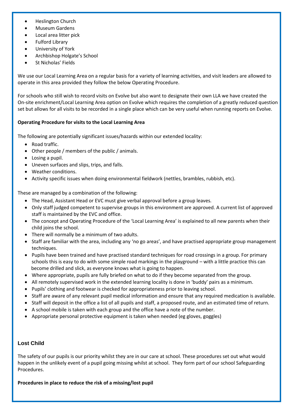- Heslington Church
- Museum Gardens
- Local area litter pick
- Fulford Library
- University of York
- Archbishop Holgate's School
- St Nicholas' Fields

We use our Local Learning Area on a regular basis for a variety of learning activities, and visit leaders are allowed to operate in this area provided they follow the below Operating Procedure.

For schools who still wish to record visits on Evolve but also want to designate their own LLA we have created the On-site enrichment/Local Learning Area option on Evolve which requires the completion of a greatly reduced question set but allows for all visits to be recorded in a single place which can be very useful when running reports on Evolve.

#### **Operating Procedure for visits to the Local Learning Area**

The following are potentially significant issues/hazards within our extended locality:

- Road traffic.
- Other people / members of the public / animals.
- Losing a pupil.
- Uneven surfaces and slips, trips, and falls.
- Weather conditions.
- Activity specific issues when doing environmental fieldwork (nettles, brambles, rubbish, etc).

These are managed by a combination of the following:

- The Head, Assistant Head or EVC must give verbal approval before a group leaves.
- Only staff judged competent to supervise groups in this environment are approved. A current list of approved staff is maintained by the EVC and office.
- The concept and Operating Procedure of the 'Local Learning Area' is explained to all new parents when their child joins the school.
- There will normally be a minimum of two adults.
- Staff are familiar with the area, including any 'no go areas', and have practised appropriate group management techniques.
- Pupils have been trained and have practised standard techniques for road crossings in a group. For primary schools this is easy to do with some simple road markings in the playground – with a little practice this can become drilled and slick, as everyone knows what is going to happen.
- Where appropriate, pupils are fully briefed on what to do if they become separated from the group.
- All remotely supervised work in the extended learning locality is done in 'buddy' pairs as a minimum.
- Pupils' clothing and footwear is checked for appropriateness prior to leaving school.
- Staff are aware of any relevant pupil medical information and ensure that any required medication is available.
- Staff will deposit in the office a list of all pupils and staff, a proposed route, and an estimated time of return.
- A school mobile is taken with each group and the office have a note of the number.
- Appropriate personal protective equipment is taken when needed (eg gloves, goggles)

#### <span id="page-15-0"></span>**Lost Child**

The safety of our pupils is our priority whilst they are in our care at school. These procedures set out what would happen in the unlikely event of a pupil going missing whilst at school. They form part of our school Safeguarding Procedures.

**Procedures in place to reduce the risk of a missing/lost pupil**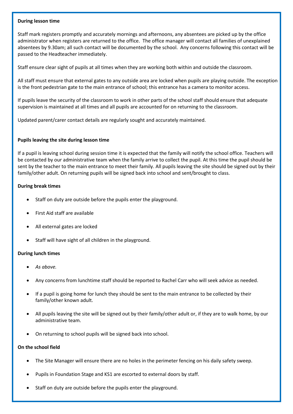#### **During lesson time**

Staff mark registers promptly and accurately mornings and afternoons, any absentees are picked up by the office administrator when registers are returned to the office. The office manager will contact all families of unexplained absentees by 9.30am; all such contact will be documented by the school. Any concerns following this contact will be passed to the Headteacher immediately.

Staff ensure clear sight of pupils at all times when they are working both within and outside the classroom.

All staff must ensure that external gates to any outside area are locked when pupils are playing outside. The exception is the front pedestrian gate to the main entrance of school; this entrance has a camera to monitor access.

If pupils leave the security of the classroom to work in other parts of the school staff should ensure that adequate supervision is maintained at all times and all pupils are accounted for on returning to the classroom.

Updated parent/carer contact details are regularly sought and accurately maintained.

#### **Pupils leaving the site during lesson time**

If a pupil is leaving school during session time it is expected that the family will notify the school office. Teachers will be contacted by our administrative team when the family arrive to collect the pupil. At this time the pupil should be sent by the teacher to the main entrance to meet their family. All pupils leaving the site should be signed out by their family/other adult. On returning pupils will be signed back into school and sent/brought to class.

#### **During break times**

- Staff on duty are outside before the pupils enter the playground.
- First Aid staff are available
- All external gates are locked
- Staff will have sight of all children in the playground.

#### **During lunch times**

- *As above.*
- Any concerns from lunchtime staff should be reported to Rachel Carr who will seek advice as needed.
- If a pupil is going home for lunch they should be sent to the main entrance to be collected by their family/other known adult.
- All pupils leaving the site will be signed out by their family/other adult or, if they are to walk home, by our administrative team.
- On returning to school pupils will be signed back into school.

#### **On the school field**

- The Site Manager will ensure there are no holes in the perimeter fencing on his daily safety sweep.
- Pupils in Foundation Stage and KS1 are escorted to external doors by staff.
- Staff on duty are outside before the pupils enter the playground.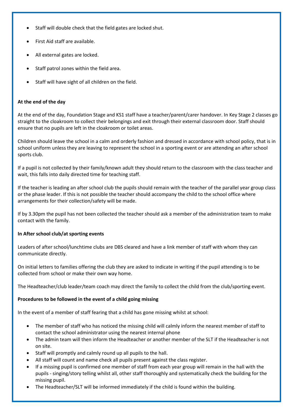- Staff will double check that the field gates are locked shut.
- First Aid staff are available.
- All external gates are locked.
- Staff patrol zones within the field area.
- Staff will have sight of all children on the field.

#### **At the end of the day**

At the end of the day, Foundation Stage and KS1 staff have a teacher/parent/carer handover. In Key Stage 2 classes go straight to the cloakroom to collect their belongings and exit through their external classroom door. Staff should ensure that no pupils are left in the cloakroom or toilet areas.

Children should leave the school in a calm and orderly fashion and dressed in accordance with school policy, that is in school uniform unless they are leaving to represent the school in a sporting event or are attending an after school sports club.

If a pupil is not collected by their family/known adult they should return to the classroom with the class teacher and wait, this falls into daily directed time for teaching staff.

If the teacher is leading an after school club the pupils should remain with the teacher of the parallel year group class or the phase leader. If this is not possible the teacher should accompany the child to the school office where arrangements for their collection/safety will be made.

If by 3.30pm the pupil has not been collected the teacher should ask a member of the administration team to make contact with the family.

#### **In After school club/at sporting events**

Leaders of after school/lunchtime clubs are DBS cleared and have a link member of staff with whom they can communicate directly.

On initial letters to families offering the club they are asked to indicate in writing if the pupil attending is to be collected from school or make their own way home.

The Headteacher/club leader/team coach may direct the family to collect the child from the club/sporting event.

#### **Procedures to be followed in the event of a child going missing**

In the event of a member of staff fearing that a child has gone missing whilst at school:

- The member of staff who has noticed the missing child will calmly inform the nearest member of staff to contact the school administrator using the nearest internal phone
- The admin team will then inform the Headteacher or another member of the SLT if the Headteacher is not on site.
- Staff will promptly and calmly round up all pupils to the hall.
- All staff will count and name check all pupils present against the class register.
- If a missing pupil is confirmed one member of staff from each year group will remain in the hall with the pupils - singing/story telling whilst all, other staff thoroughly and systematically check the building for the missing pupil.
- The Headteacher/SLT will be informed immediately if the child is found within the building.